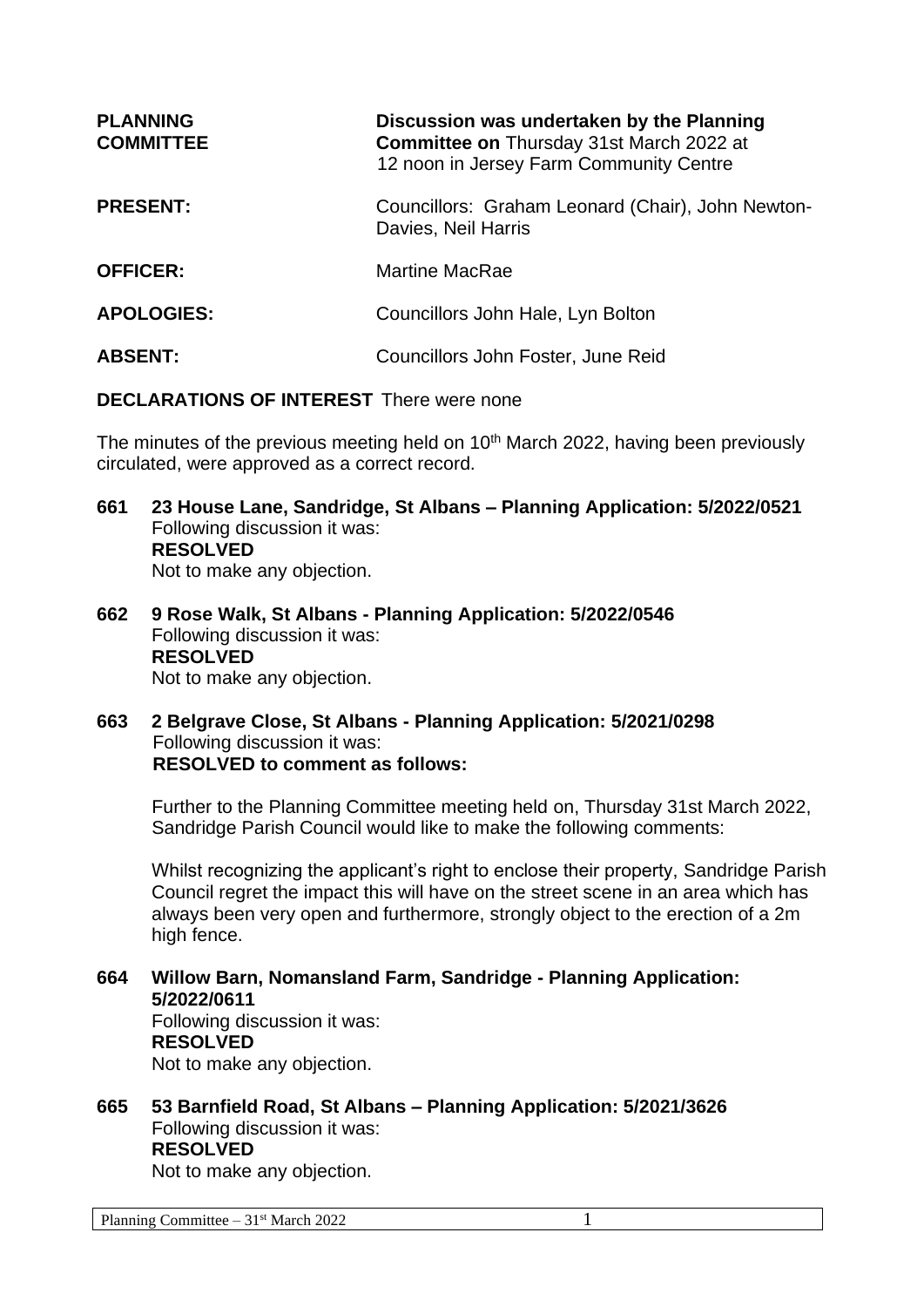| <b>PLANNING</b><br><b>COMMITTEE</b> | Discussion was undertaken by the Planning<br><b>Committee on Thursday 31st March 2022 at</b><br>12 noon in Jersey Farm Community Centre |
|-------------------------------------|-----------------------------------------------------------------------------------------------------------------------------------------|
| <b>PRESENT:</b>                     | Councillors: Graham Leonard (Chair), John Newton-<br>Davies, Neil Harris                                                                |
| <b>OFFICER:</b>                     | <b>Martine MacRae</b>                                                                                                                   |
| <b>APOLOGIES:</b>                   | Councillors John Hale, Lyn Bolton                                                                                                       |
| <b>ABSENT:</b>                      | Councillors John Foster, June Reid                                                                                                      |

## **DECLARATIONS OF INTEREST** There were none

The minutes of the previous meeting held on 10<sup>th</sup> March 2022, having been previously circulated, were approved as a correct record.

- **661 23 House Lane, Sandridge, St Albans – Planning Application: 5/2022/0521** Following discussion it was: **RESOLVED** Not to make any objection.
- **662 9 Rose Walk, St Albans - Planning Application: 5/2022/0546** Following discussion it was: **RESOLVED** Not to make any objection.
- **663 2 Belgrave Close, St Albans - Planning Application: 5/2021/0298** Following discussion it was: **RESOLVED to comment as follows:**

Further to the Planning Committee meeting held on, Thursday 31st March 2022, Sandridge Parish Council would like to make the following comments:

Whilst recognizing the applicant's right to enclose their property, Sandridge Parish Council regret the impact this will have on the street scene in an area which has always been very open and furthermore, strongly object to the erection of a 2m high fence.

- **664 Willow Barn, Nomansland Farm, Sandridge - Planning Application: 5/2022/0611** Following discussion it was: **RESOLVED** Not to make any objection.
- **665 53 Barnfield Road, St Albans – Planning Application: 5/2021/3626** Following discussion it was: **RESOLVED**

Not to make any objection.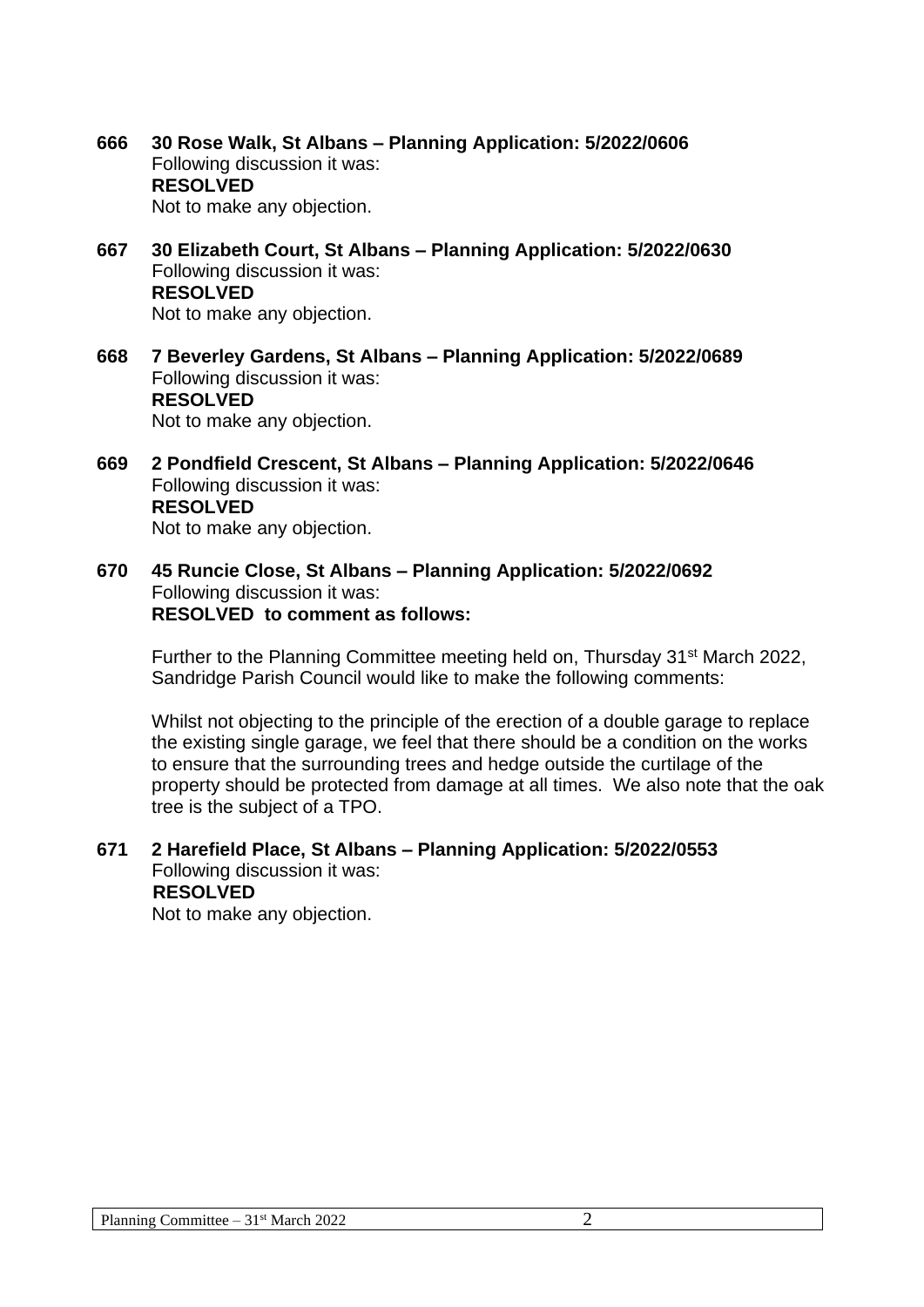**666 30 Rose Walk, St Albans – Planning Application: 5/2022/0606** Following discussion it was: **RESOLVED** Not to make any objection.

- **667 30 Elizabeth Court, St Albans – Planning Application: 5/2022/0630** Following discussion it was: **RESOLVED** Not to make any objection.
- **668 7 Beverley Gardens, St Albans – Planning Application: 5/2022/0689** Following discussion it was: **RESOLVED** Not to make any objection.
- **669 2 Pondfield Crescent, St Albans – Planning Application: 5/2022/0646** Following discussion it was: **RESOLVED** Not to make any objection.
- **670 45 Runcie Close, St Albans – Planning Application: 5/2022/0692** Following discussion it was: **RESOLVED to comment as follows:**

Further to the Planning Committee meeting held on, Thursday 31<sup>st</sup> March 2022, Sandridge Parish Council would like to make the following comments:

Whilst not objecting to the principle of the erection of a double garage to replace the existing single garage, we feel that there should be a condition on the works to ensure that the surrounding trees and hedge outside the curtilage of the property should be protected from damage at all times. We also note that the oak tree is the subject of a TPO.

## **671 2 Harefield Place, St Albans – Planning Application: 5/2022/0553** Following discussion it was: **RESOLVED**

Not to make any objection.